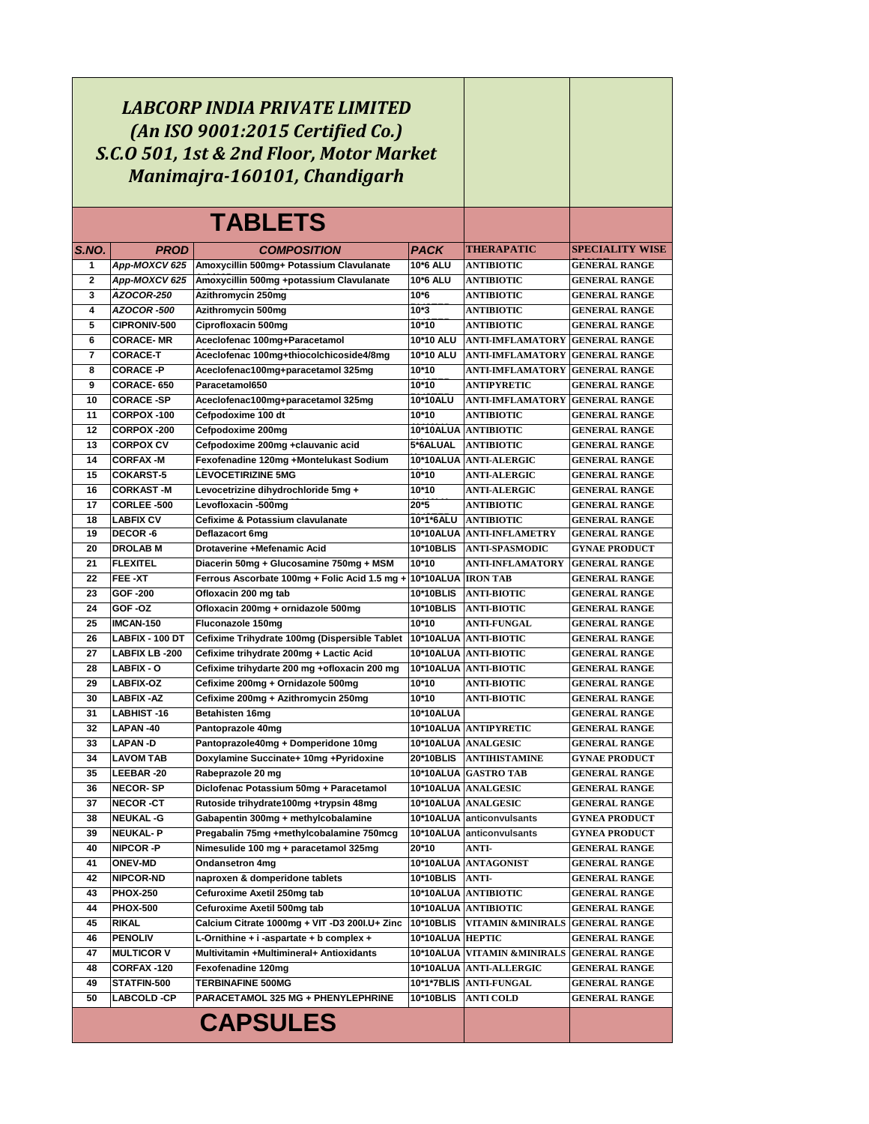|                |                                     | LABCORP INDIA PRIVATE LIMITED<br>(An ISO 9001:2015 Certified Co.)<br>S.C.O 501, 1st & 2nd Floor, Motor Market<br>Manimajra-160101, Chandigarh |                           |                                                   |                                              |
|----------------|-------------------------------------|-----------------------------------------------------------------------------------------------------------------------------------------------|---------------------------|---------------------------------------------------|----------------------------------------------|
|                |                                     | <b>TABLETS</b>                                                                                                                                |                           |                                                   |                                              |
| S.NO.          | <b>PROD</b>                         | <b>COMPOSITION</b>                                                                                                                            | <b>PACK</b>               | THERAPATIC                                        | <b>SPECIALITY WISE</b>                       |
| 1              | App-MOXCV 625                       | Amoxycillin 500mg+ Potassium Clavulanate                                                                                                      | 10*6 ALU                  | <b>ANTIBIOTIC</b>                                 | <b>GENERAL RANGE</b>                         |
| $\overline{2}$ | App-MOXCV 625                       | Amoxycillin 500mg +potassium Clavulanate                                                                                                      | 10*6 ALU                  | <b>ANTIBIOTIC</b>                                 | <b>GENERAL RANGE</b>                         |
| 3              | <b>AZOCOR-250</b>                   | Azithromycin 250mg                                                                                                                            | $10*6$                    | ANTIBIOTIC                                        | <b>GENERAL RANGE</b>                         |
| 4              | AZOCOR -500                         | Azithromycin 500mg                                                                                                                            | $10*3$                    | <b>ANTIBIOTIC</b>                                 | <b>GENERAL RANGE</b>                         |
| 5              | <b>CIPRONIV-500</b>                 | Ciprofloxacin 500mg                                                                                                                           | 10*10                     | ANTIBIOTIC                                        | <b>GENERAL RANGE</b>                         |
| 6<br>7         | <b>CORACE-MR</b><br><b>CORACE T</b> | Aceclofenac 100mg+Paracetamol<br>Aceclofenac 100mg+thiocolchicoside4/8mg                                                                      | 10*10 ALU<br>10*10 ALU    | ANTI-IMFLAMATORY<br><b>ANTI-IMFLAMATORY</b>       | <b>GENERAL RANGE</b><br><b>GENERAL RANGE</b> |
| 8              | <b>CORACE-P</b>                     | Aceclofenac100mg+paracetamol 325mg                                                                                                            | 10*10                     | <b>ANTI-IMFLAMATORY</b>                           | <b>GENERAL RANGE</b>                         |
| 9              | <b>CORACE-650</b>                   | Paracetamol650                                                                                                                                | 10*10                     | ANTIPYRETIC                                       | <b>GENERAL RANGE</b>                         |
| 10             | <b>CORACE-SP</b>                    | Aceclofenac100mg+paracetamol 325mg                                                                                                            | 10*10ALU                  | <b>ANTI-IMFLAMATORY</b>                           | <b>GENERAL RANGE</b>                         |
| 11             | <b>CORPOX-100</b>                   | Cefpodoxime 100 dt                                                                                                                            | 10*10                     | ANTIBIOTIC                                        | <b>GENERAL RANGE</b>                         |
| 12             | CORPOX-200                          | Cefpodoxime 200mg                                                                                                                             |                           | 10*10ALUA ANTIBIOTIC                              | <b>GENERAL RANGE</b>                         |
| 13             | <b>CORPOX CV</b>                    | Cefpodoxime 200mg +clauvanic acid                                                                                                             | 5*6ALUAL                  | <b>ANTIBIOTIC</b>                                 | <b>GENERAL RANGE</b>                         |
| 14             | <b>CORFAX-M</b>                     | Fexofenadine 120mg +Montelukast Sodium                                                                                                        | 10*10ALUA                 | <b>ANTI-ALERGIC</b>                               | <b>GENERAL RANGE</b>                         |
| 15             | <b>COKARST-5</b>                    | <b>LEVOCETIRIZINE 5MG</b>                                                                                                                     | 10*10                     | <b>ANTI-ALERGIC</b>                               | <b>GENERAL RANGE</b>                         |
| 16             | <b>CORKAST-M</b>                    | Levocetrizine dihydrochloride 5mg +                                                                                                           | 10*10                     | <b>ANTI-ALERGIC</b>                               | <b>GENERAL RANGE</b>                         |
| 17             | <b>CORLEE-500</b>                   | Levofloxacin -500mg                                                                                                                           | 20*5                      | <b>ANTIBIOTIC</b>                                 | <b>GENERAL RANGE</b>                         |
| 18             | <b>LABFIX CV</b>                    | Cefixime & Potassium clavulanate                                                                                                              | 10*1*6ALU                 | <b>ANTIBIOTIC</b>                                 | <b>GENERAL RANGE</b>                         |
| 19             | <b>DECOR-6</b>                      | Deflazacort 6mg                                                                                                                               |                           | 10*10ALUA ANTI-INFLAMETRY                         | <b>GENERAL RANGE</b>                         |
| 20             | <b>DROLAB M</b>                     | Drotaverine +Mefenamic Acid                                                                                                                   | 10*10BLIS                 | <b>ANTI-SPASMODIC</b>                             | <b>GYNAE PRODUCT</b>                         |
| 21             | <b>FLEXITEL</b>                     | Diacerin 50mg + Glucosamine 750mg + MSM                                                                                                       | 10*10                     | <b>ANTI-INFLAMATORY</b>                           | <b>GENERAL RANGE</b>                         |
| 22             | FEE-XT                              | Ferrous Ascorbate 100mg + Folic Acid 1.5 mg +                                                                                                 | 10*10ALUA  IRON TAB       |                                                   | <b>GENERAL RANGE</b>                         |
| 23             | GOF-200                             | Ofloxacin 200 mg tab                                                                                                                          | 10*10BLIS                 | <b>ANTI-BIOTIC</b>                                | <b>GENERAL RANGE</b>                         |
| 24<br>25       | GOF -OZ                             | Ofloxacin 200mg + ornidazole 500mg                                                                                                            | 10*10BLIS                 | <b>ANTI-BIOTIC</b>                                | <b>GENERAL RANGE</b>                         |
| 26             | <b>IMCAN-150</b><br>LABFIX - 100 DT | Fluconazole 150mg<br>Cefixime Trihydrate 100mg (Dispersible Tablet                                                                            | 10*10<br><b>10*10ALUA</b> | <b>ANTI-FUNGAL</b><br><b>ANTI-BIOTIC</b>          | <b>GENERAL RANGE</b><br><b>GENERAL RANGE</b> |
| 27             | <b>LABFIX LB-200</b>                | Cefixime trihydrate 200mg + Lactic Acid                                                                                                       | 10*10ALUA                 | <b>ANTI BIOTIC</b>                                | <b>GENERAL RANGE</b>                         |
| 28             | <b>LABFIX - O</b>                   | Cefixime trihydarte 200 mg +ofloxacin 200 mg                                                                                                  | 10*10ALUA                 | <b>ANTI-BIOTIC</b>                                | <b>GENERAL RANGE</b>                         |
| 29             | <b>LABFIX-OZ</b>                    | Cefixime 200mg + Ornidazole 500mg                                                                                                             | 10*10                     | ANTI BIOTIC                                       | <b>GENERAL RANGE</b>                         |
| 30             | <b>LABFIX-AZ</b>                    | Cefixime 200mg + Azithromycin 250mg                                                                                                           | 10*10                     | ANTI BIOTIC                                       | <b>GENERAL RANGE</b>                         |
| 31             | <b>LABHIST-16</b>                   | Betahisten 16mg                                                                                                                               | 10*10ALUA                 |                                                   | <b>GENERAL RANGE</b>                         |
| 32             | LAPAN-40                            | Pantoprazole 40mg                                                                                                                             |                           | 10*10ALUA ANTIPYRETIC                             | <b>GENERAL RANGE</b>                         |
| 33             | LAPAN -D                            | Pantoprazole40mg + Domperidone 10mg                                                                                                           |                           | 10*10ALUA ANALGESIC                               | <b>GENERAL RANGE</b>                         |
| 34             | LAVOM TAB                           | Doxylamine Succinate+ 10mg +Pyridoxine                                                                                                        | <b>20*10BLIS</b>          | <b>ANTIHISTAMINE</b>                              | <b>GYNAE PRODUCT</b>                         |
| 35             | LEEBAR-20                           | Rabeprazole 20 mg                                                                                                                             |                           | 10*10ALUA GASTRO TAB                              | <b>GENERAL RANGE</b>                         |
| 36             | <b>NECOR-SP</b>                     | Diclofenac Potassium 50mg + Paracetamol                                                                                                       |                           | 10*10ALUA ANALGESIC                               | <b>GENERAL RANGE</b>                         |
| 37             | <b>NECOR-CT</b>                     | Rutoside trihydrate100mg +trypsin 48mg                                                                                                        |                           | 10*10ALUA   ANALGESIC                             | <b>GENERAL RANGE</b>                         |
| 38             | <b>NEUKAL -G</b>                    | Gabapentin 300mg + methylcobalamine                                                                                                           |                           | 10*10ALUA anticonvulsants                         | <b>GYNEA PRODUCT</b>                         |
| 39             | <b>NEUKAL-P</b>                     | Pregabalin 75mg +methylcobalamine 750mcg                                                                                                      |                           | 10*10ALUA anticonvulsants                         | <b>GYNEA PRODUCT</b>                         |
| 40             | <b>NIPCOR -P</b>                    | Nimesulide 100 mg + paracetamol 325mg                                                                                                         | 20*10                     | ANTI-                                             | <b>GENERAL RANGE</b>                         |
| 41             | <b>ONEV-MD</b>                      | <b>Ondansetron 4mg</b>                                                                                                                        |                           | 10*10ALUA ANTAGONIST                              | <b>GENERAL RANGE</b>                         |
| 42             | <b>NIPCOR-ND</b>                    | naproxen & domperidone tablets                                                                                                                | 10*10BLIS                 | ANTI-                                             | <b>GENERAL RANGE</b>                         |
| 43             | <b>PHOX-250</b>                     | Cefuroxime Axetil 250mg tab                                                                                                                   |                           | 10*10ALUA ANTIBIOTIC                              | <b>GENERAL RANGE</b>                         |
| 44             | <b>PHOX-500</b>                     | Cefuroxime Axetil 500mg tab                                                                                                                   |                           | 10*10ALUA ANTIBIOTIC                              | <b>GENERAL RANGE</b>                         |
| 45             | RIKAL                               | Calcium Citrate 1000mg + VIT -D3 200I.U+ Zinc                                                                                                 | 10*10BLIS                 | VITAMIN &MINIRALS                                 | <b>GENERAL RANGE</b>                         |
| 46             | <b>PENOLIV</b>                      | L-Ornithine + i -aspartate + b complex +                                                                                                      | 10*10ALUA HEPTIC          |                                                   | <b>GENERAL RANGE</b>                         |
| 47             | <b>MULTICOR V</b>                   | Multivitamin +Multimineral+ Antioxidants                                                                                                      |                           | 10*10ALUA VITAMIN &MINIRALS GENERAL RANGE         |                                              |
| 48<br>49       | CORFAX-120<br>STATFIN-500           | Fexofenadine 120mg<br><b>TERBINAFINE 500MG</b>                                                                                                |                           | 10*10ALUA ANTI ALLERGIC<br>10*1*7BLIS ANTI FUNGAL | <b>GENERAL RANGE</b>                         |
| 50             | <b>LABCOLD -CP</b>                  | <b>PARACETAMOL 325 MG + PHENYLEPHRINE</b>                                                                                                     | 10*10BLIS                 | <b>ANTI COLD</b>                                  | <b>GENERAL RANGE</b><br><b>GENERAL RANGE</b> |
|                |                                     |                                                                                                                                               |                           |                                                   |                                              |
|                |                                     | <b>CAPSULES</b>                                                                                                                               |                           |                                                   |                                              |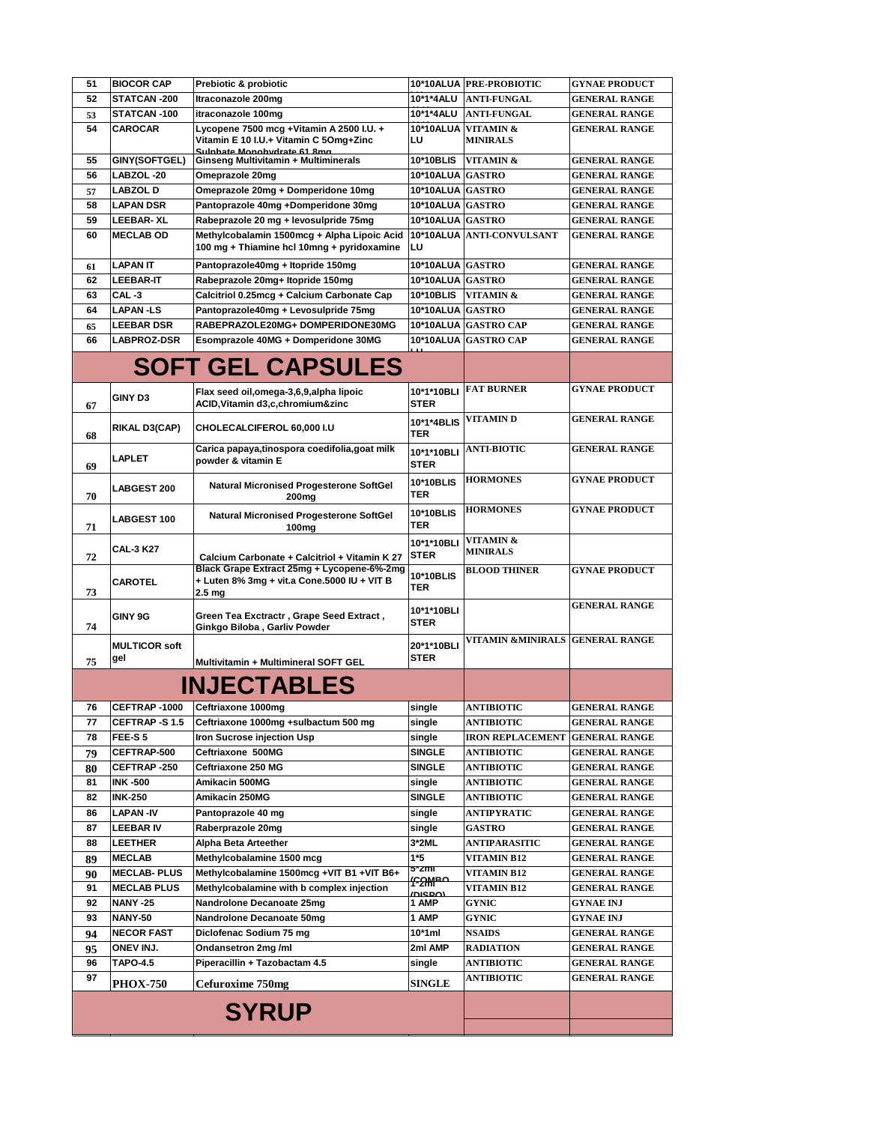| 51                 | <b>BIOCOR CAP</b>            | Prebiotic & probiotic                                                 |                    | 10*10ALUA   PRE-PROBIOTIC         | <b>GYNAE PRODUCT</b>                         |
|--------------------|------------------------------|-----------------------------------------------------------------------|--------------------|-----------------------------------|----------------------------------------------|
| 52                 | STATCAN-200                  | Itraconazole 200mg                                                    | 10*1*4ALU          | <b>ANTI-FUNGAL</b>                | <b>GENERAL RANGE</b>                         |
| 53                 | STATCAN-100                  | itraconazole 100mg                                                    | 10*1*4ALU          | <b>ANTI-FUNGAL</b>                | <b>GENERAL RANGE</b>                         |
| 54                 | <b>CAROCAR</b>               | Lycopene 7500 mcg +Vitamin A 2500 I.U. +                              | 10*10ALUA          | VITAMIN &                         | <b>GENERAL RANGE</b>                         |
|                    |                              | Vitamin E 10 I.U.+ Vitamin C 5Omg+Zinc<br>Sulphate Monohydrate 61 8mg | LU                 | <b>MINIRALS</b>                   |                                              |
| 55                 | GINY(SOFTGEL)                | Ginseng Multivitamin + Multiminerals                                  | 10*10BLIS          | VITAMIN &                         | <b>GENERAL RANGE</b>                         |
| 56                 | LABZOL-20                    | Omeprazole 20mg                                                       | 10*10ALUA          | <b>GASTRO</b>                     | <b>GENERAL RANGE</b>                         |
| 57                 | <b>LABZOL D</b>              | Omeprazole 20mg + Domperidone 10mg                                    | 10*10ALUA GASTRO   |                                   | <b>GENERAL RANGE</b>                         |
| 58                 | <b>LAPAN DSR</b>             | Pantoprazole 40mg +Domperidone 30mg                                   | 10*10ALUA GASTRO   |                                   | <b>GENERAL RANGE</b>                         |
| 59                 | <b>LEEBAR-XL</b>             | Rabeprazole 20 mg + levosulpride 75mg                                 | 10*10ALUA GASTRO   |                                   | <b>GENERAL RANGE</b>                         |
| 60                 | <b>MECLAB OD</b>             | Methylcobalamin 1500mcg + Alpha Lipoic Acid                           | 10*10ALUA          | <b>ANTI-CONVULSANT</b>            | <b>GENERAL RANGE</b>                         |
|                    |                              | 100 mg + Thiamine hcl 10mng + pyridoxamine                            | LU                 |                                   |                                              |
| 61                 | <b>LAPAN IT</b>              | Pantoprazole40mg + Itopride 150mg                                     | 10*10ALUA GASTRO   |                                   | <b>GENERAL RANGE</b>                         |
| 62                 | <b>LEEBAR-IT</b>             | Rabeprazole 20mg+ Itopride 150mg                                      | 10*10ALUA GASTRO   |                                   | <b>GENERAL RANGE</b>                         |
| 63                 | CAL-3                        | Calcitriol 0.25mcg + Calcium Carbonate Cap                            | 10*10BLIS          | VITAMIN &                         | <b>GENERAL RANGE</b>                         |
| 64                 | <b>LAPAN-LS</b>              | Pantoprazole40mg + Levosulpride 75mg                                  | 10*10ALUA          | <b>GASTRO</b>                     | <b>GENERAL RANGE</b>                         |
| 65                 | <b>LEEBAR DSR</b>            | RABEPRAZOLE20MG+ DOMPERIDONE30MG                                      | 10*10ALUA          | <b>GASTRO CAP</b>                 | <b>GENERAL RANGE</b>                         |
| 66                 | <b>LABPROZ-DSR</b>           | Esomprazole 40MG + Domperidone 30MG                                   | 10*10ALUA          | <b>GASTRO CAP</b>                 | <b>GENERAL RANGE</b>                         |
|                    |                              |                                                                       |                    |                                   |                                              |
|                    |                              | <b>SOFT GEL CAPSULES</b>                                              |                    |                                   |                                              |
|                    |                              | Flax seed oil,omega-3,6,9,alpha lipoic                                | 10*1*10BLI         | <b>FAT BURNER</b>                 | <b>GYNAE PRODUCT</b>                         |
| 67                 | <b>GINY D3</b>               | ACID, Vitamin d3, c, chromium&zinc                                    | <b>STER</b>        |                                   |                                              |
|                    |                              |                                                                       | 10*1*4BLIS         | VITAMIN D                         | <b>GENERAL RANGE</b>                         |
| 68                 | RIKAL D3(CAP)                | CHOLECALCIFEROL 60,000 I.U                                            | TER                |                                   |                                              |
|                    |                              | Carica papaya,tinospora coedifolia,goat milk                          | 10*1*10BLI         | <b>ANTI-BIOTIC</b>                | <b>GENERAL RANGE</b>                         |
| 69                 | <b>LAPLET</b>                | powder & vitamin E                                                    | <b>STER</b>        |                                   |                                              |
|                    |                              | <b>Natural Micronised Progesterone SoftGel</b>                        | 10*10BLIS          | <b>HORMONES</b>                   | <b>GYNAE PRODUCT</b>                         |
| 70                 | <b>LABGEST 200</b>           | 200 <sub>mg</sub>                                                     | TER                |                                   |                                              |
|                    |                              | <b>Natural Micronised Progesterone SoftGel</b>                        | 10*10BLIS          | <b>HORMONES</b>                   | <b>GYNAE PRODUCT</b>                         |
| 71                 | <b>LABGEST 100</b>           | 100 <sub>mg</sub>                                                     | <b>TER</b>         |                                   |                                              |
|                    |                              |                                                                       | 10*1*10BLI         | VITAMIN &                         |                                              |
| 72                 | <b>CAL-3 K27</b>             | Calcium Carbonate + Calcitriol + Vitamin K 27                         | <b>STER</b>        | <b>MINIRALS</b>                   |                                              |
|                    |                              | Black Grape Extract 25mg + Lycopene-6%-2mg                            | 10*10BLIS          | <b>BLOOD THINER</b>               | <b>GYNAE PRODUCT</b>                         |
| 73                 | <b>CAROTEL</b>               | + Luten 8% 3mg + vit.a Cone.5000 IU + VIT B<br>2.5 <sub>mg</sub>      | TER                |                                   |                                              |
|                    |                              |                                                                       |                    |                                   | <b>GENERAL RANGE</b>                         |
|                    | GINY 9G                      | Green Tea Exctractr, Grape Seed Extract,                              | 10*1*10BLI<br>STER |                                   |                                              |
| 74                 |                              | Ginkgo Biloba, Garliv Powder                                          |                    | VITAMIN &MINIRALS GENERAL RANGE   |                                              |
|                    | <b>MULTICOR soft</b>         |                                                                       | 20*1*10BLI         |                                   |                                              |
| 75                 | gel                          | Multivitamin + Multimineral SOFT GEL                                  | <b>STER</b>        |                                   |                                              |
| <b>INJECTABLES</b> |                              |                                                                       |                    |                                   |                                              |
|                    |                              |                                                                       |                    |                                   |                                              |
| 76                 | CEFTRAP-1000                 | Ceftriaxone 1000mg                                                    | single             | ANTIBIOTIC                        | <b>GENERAL RANGE</b>                         |
| 77                 | <b>CEFTRAP-S1.5</b>          | Ceftriaxone 1000mg +sulbactum 500 mg                                  | single             | ANTIBIOTIC                        | <b>GENERAL RANGE</b>                         |
| 78                 | FEE-S5                       | Iron Sucrose injection Usp                                            | single             | <b>IRON REPLACEMENT</b>           | <b>GENERAL RANGE</b>                         |
| 79                 | CEFTRAP-500                  | Ceftriaxone 500MG                                                     | <b>SINGLE</b>      | ANTIBIOTIC                        | <b>GENERAL RANGE</b>                         |
| 80                 | CEFTRAP-250                  | Ceftriaxone 250 MG                                                    | SINGLE             | ANTIBIOTIC                        | <b>GENERAL RANGE</b>                         |
| 81                 | <b>INK-500</b>               | Amikacin 500MG                                                        | single             | ANTIBIOTIC                        | <b>GENERAL RANGE</b>                         |
| 82                 | <b>INK-250</b>               | Amikacin 250MG                                                        | SINGLE             | ANTIBIOTIC                        | <b>GENERAL RANGE</b>                         |
| 86                 | <b>LAPAN-IV</b>              | Pantoprazole 40 mg                                                    | single             | ANTIPYRATIC                       | <b>GENERAL RANGE</b>                         |
| 87                 | <b>LEEBAR IV</b>             | Raberprazole 20mg                                                     | single             | <b>GASTRO</b>                     | <b>GENERAL RANGE</b>                         |
| 88                 | <b>LEETHER</b>               | Alpha Beta Arteether                                                  | 3*2ML              | ANTIPARASITIC                     | <b>GENERAL RANGE</b>                         |
| 89                 | <b>MECLAB</b>                | Methylcobalamine 1500 mcg                                             | 1*5<br>5^2mi       | VITAMIN B12                       | <b>GENERAL RANGE</b>                         |
| 90                 | <b>MECLAB-PLUS</b>           | Methylcobalamine 1500mcg +VIT B1 +VIT B6+                             | <u>"ନ</u> ୍ନ∰ଳ≏    | VITAMIN B12                       | <b>GENERAL RANGE</b>                         |
| 91                 | <b>MECLAB PLUS</b>           | Methylcobalamine with b complex injection                             | <b>נמפצות</b>      | VITAMIN B12                       | <b>GENERAL RANGE</b>                         |
| 92                 | <b>NANY -25</b>              | Nandrolone Decanoate 25mg                                             | 1 AMP<br>1 AMP     | GYNIC                             | GYNAE INJ                                    |
| 93                 | NANY-50<br><b>NECOR FAST</b> | Nandrolone Decanoate 50mg                                             |                    | <b>GYNIC</b>                      | <b>GYNAE INJ</b>                             |
| 94                 | ONEV INJ.                    | Diclofenac Sodium 75 mg<br>Ondansetron 2mg /ml                        | 10*1ml<br>2ml AMP  | <b>NSAIDS</b><br><b>RADIATION</b> | <b>GENERAL RANGE</b><br><b>GENERAL RANGE</b> |
| 95<br>96           | <b>TAPO-4.5</b>              | Piperacillin + Tazobactam 4.5                                         |                    | ANTIBIOTIC                        | GENERAL RANGE                                |
| 97                 |                              |                                                                       | single             | ANTIBIOTIC                        | <b>GENERAL RANGE</b>                         |
|                    | <b>PHOX-750</b>              | Cefuroxime 750mg                                                      | <b>SINGLE</b>      |                                   |                                              |
|                    |                              |                                                                       |                    |                                   |                                              |
| <b>SYRUP</b>       |                              |                                                                       |                    |                                   |                                              |
|                    |                              |                                                                       |                    |                                   |                                              |